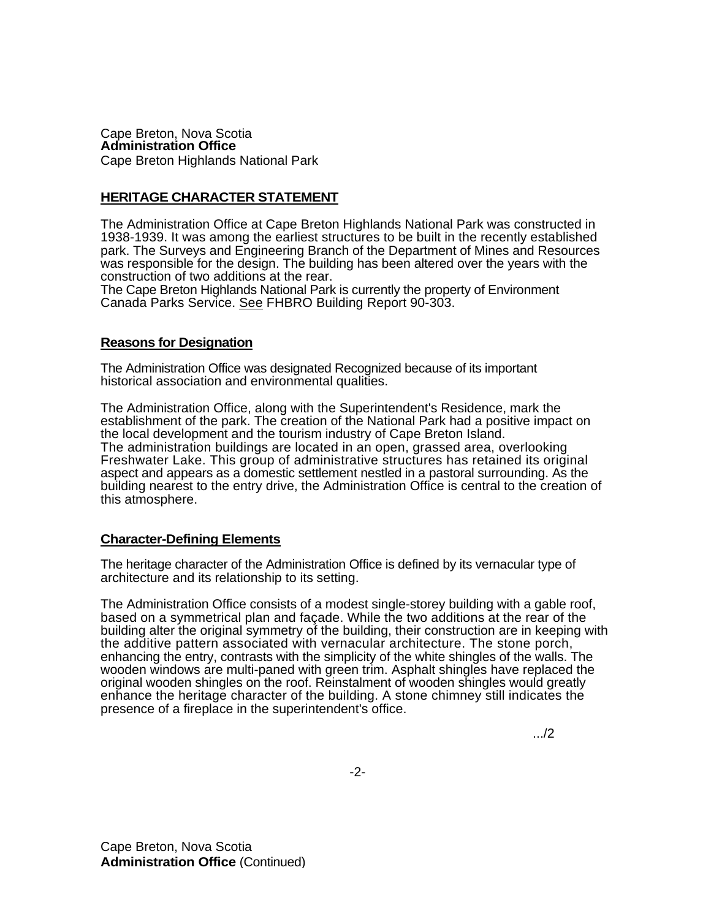Cape Breton, Nova Scotia **Administration Office**  Cape Breton Highlands National Park

## **HERITAGE CHARACTER STATEMENT**

The Administration Office at Cape Breton Highlands National Park was constructed in 1938-1939. It was among the earliest structures to be built in the recently established park. The Surveys and Engineering Branch of the Department of Mines and Resources was responsible for the design. The building has been altered over the years with the construction of two additions at the rear.

The Cape Breton Highlands National Park is currently the property of Environment Canada Parks Service. See FHBRO Building Report 90-303.

## **Reasons for Designation**

The Administration Office was designated Recognized because of its important historical association and environmental qualities.

The Administration Office, along with the Superintendent's Residence, mark the establishment of the park. The creation of the National Park had a positive impact on the local development and the tourism industry of Cape Breton Island. The administration buildings are located in an open, grassed area, overlooking Freshwater Lake. This group of administrative structures has retained its original aspect and appears as a domestic settlement nestled in a pastoral surrounding. As the building nearest to the entry drive, the Administration Office is central to the creation of this atmosphere.

## **Character-Defining Elements**

The heritage character of the Administration Office is defined by its vernacular type of architecture and its relationship to its setting.

The Administration Office consists of a modest single-storey building with a gable roof, based on a symmetrical plan and façade. While the two additions at the rear of the building alter the original symmetry of the building, their construction are in keeping with the additive pattern associated with vernacular architecture. The stone porch, enhancing the entry, contrasts with the simplicity of the white shingles of the walls. The wooden windows are multi-paned with green trim. Asphalt shingles have replaced the original wooden shingles on the roof. Reinstalment of wooden shingles would greatly enhance the heritage character of the building. A stone chimney still indicates the presence of a fireplace in the superintendent's office.

.../2